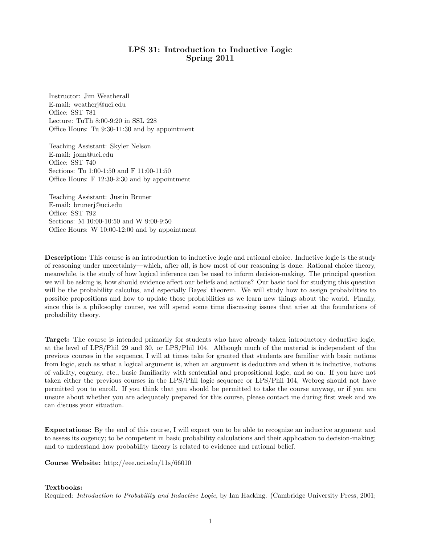## LPS 31: Introduction to Inductive Logic Spring 2011

Instructor: Jim Weatherall E-mail: weatherj@uci.edu Office: SST 781 Lecture: TuTh 8:00-9:20 in SSL 228 Office Hours: Tu 9:30-11:30 and by appointment

Teaching Assistant: Skyler Nelson E-mail: jonn@uci.edu Office: SST 740 Sections: Tu 1:00-1:50 and F 11:00-11:50 Office Hours: F 12:30-2:30 and by appointment

Teaching Assistant: Justin Bruner E-mail: brunerj@uci.edu Office: SST 792 Sections: M 10:00-10:50 and W 9:00-9:50 Office Hours: W 10:00-12:00 and by appointment

Description: This course is an introduction to inductive logic and rational choice. Inductive logic is the study of reasoning under uncertainty—which, after all, is how most of our reasoning is done. Rational choice theory, meanwhile, is the study of how logical inference can be used to inform decision-making. The principal question we will be asking is, how should evidence affect our beliefs and actions? Our basic tool for studying this question will be the probability calculus, and especially Bayes' theorem. We will study how to assign probabilities to possible propositions and how to update those probabilities as we learn new things about the world. Finally, since this is a philosophy course, we will spend some time discussing issues that arise at the foundations of probability theory.

Target: The course is intended primarily for students who have already taken introductory deductive logic, at the level of LPS/Phil 29 and 30, or LPS/Phil 104. Although much of the material is independent of the previous courses in the sequence, I will at times take for granted that students are familiar with basic notions from logic, such as what a logical argument is, when an argument is deductive and when it is inductive, notions of validity, cogency, etc., basic familiarity with sentential and propositional logic, and so on. If you have not taken either the previous courses in the LPS/Phil logic sequence or LPS/Phil 104, Webreg should not have permitted you to enroll. If you think that you should be permitted to take the course anyway, or if you are unsure about whether you are adequately prepared for this course, please contact me during first week and we can discuss your situation.

Expectations: By the end of this course, I will expect you to be able to recognize an inductive argument and to assess its cogency; to be competent in basic probability calculations and their application to decision-making; and to understand how probability theory is related to evidence and rational belief.

Course Website: http://eee.uci.edu/11s/66010

## Textbooks:

Required: Introduction to Probability and Inductive Logic, by Ian Hacking. (Cambridge University Press, 2001;